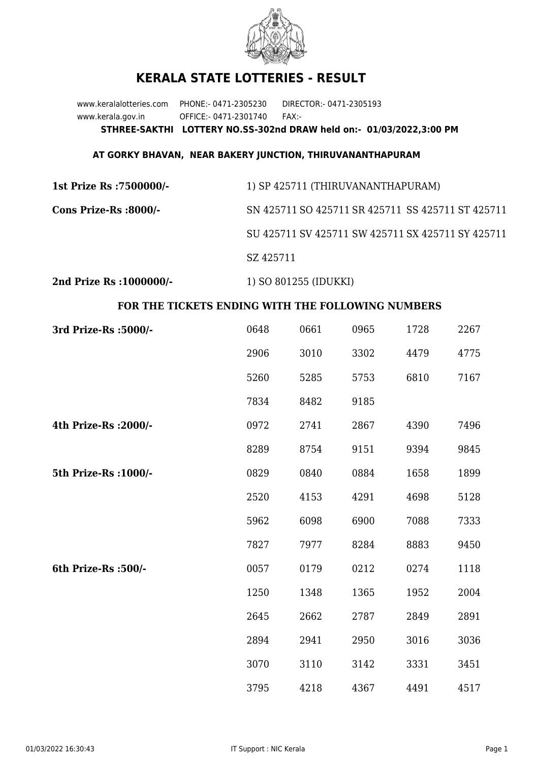

## **KERALA STATE LOTTERIES - RESULT**

www.keralalotteries.com PHONE:- 0471-2305230 DIRECTOR:- 0471-2305193 www.kerala.gov.in OFFICE:- 0471-2301740 FAX:- **STHREE-SAKTHI LOTTERY NO.SS-302nd DRAW held on:- 01/03/2022,3:00 PM**

## **AT GORKY BHAVAN, NEAR BAKERY JUNCTION, THIRUVANANTHAPURAM**

| 1st Prize Rs : 7500000/- | 1) SP 425711 (THIRUVANANTHAPURAM)                 |
|--------------------------|---------------------------------------------------|
| Cons Prize-Rs :8000/-    | SN 425711 SO 425711 SR 425711 SS 425711 ST 425711 |
|                          | SU 425711 SV 425711 SW 425711 SX 425711 SY 425711 |
|                          | SZ 425711                                         |
|                          |                                                   |

**2nd Prize Rs :1000000/-** 1) SO 801255 (IDUKKI)

## **FOR THE TICKETS ENDING WITH THE FOLLOWING NUMBERS**

| 3rd Prize-Rs : 5000/- | 0648 | 0661 | 0965 | 1728 | 2267 |
|-----------------------|------|------|------|------|------|
|                       | 2906 | 3010 | 3302 | 4479 | 4775 |
|                       | 5260 | 5285 | 5753 | 6810 | 7167 |
|                       | 7834 | 8482 | 9185 |      |      |
| 4th Prize-Rs : 2000/- | 0972 | 2741 | 2867 | 4390 | 7496 |
|                       | 8289 | 8754 | 9151 | 9394 | 9845 |
| 5th Prize-Rs : 1000/- | 0829 | 0840 | 0884 | 1658 | 1899 |
|                       | 2520 | 4153 | 4291 | 4698 | 5128 |
|                       | 5962 | 6098 | 6900 | 7088 | 7333 |
|                       | 7827 | 7977 | 8284 | 8883 | 9450 |
| 6th Prize-Rs :500/-   | 0057 | 0179 | 0212 | 0274 | 1118 |
|                       | 1250 | 1348 | 1365 | 1952 | 2004 |
|                       | 2645 | 2662 | 2787 | 2849 | 2891 |
|                       | 2894 | 2941 | 2950 | 3016 | 3036 |
|                       | 3070 | 3110 | 3142 | 3331 | 3451 |
|                       | 3795 | 4218 | 4367 | 4491 | 4517 |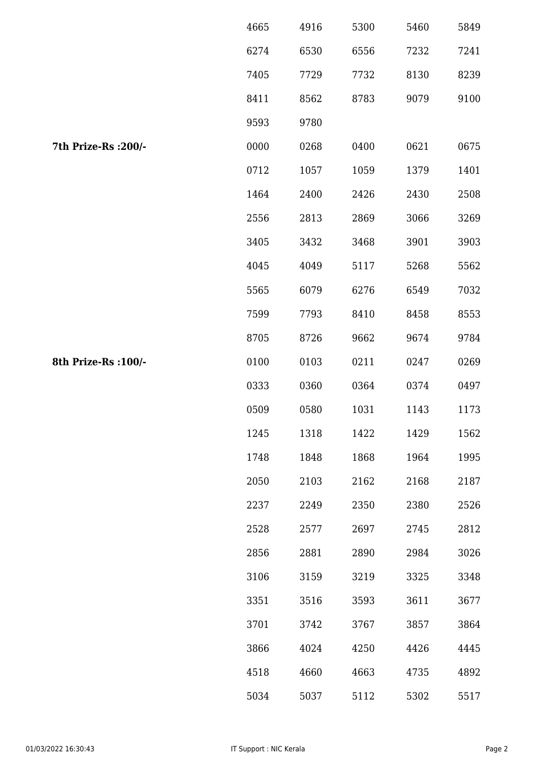|                      | 4665 | 4916 | 5300 | 5460 | 5849 |
|----------------------|------|------|------|------|------|
|                      | 6274 | 6530 | 6556 | 7232 | 7241 |
|                      | 7405 | 7729 | 7732 | 8130 | 8239 |
|                      | 8411 | 8562 | 8783 | 9079 | 9100 |
|                      | 9593 | 9780 |      |      |      |
| 7th Prize-Rs : 200/- | 0000 | 0268 | 0400 | 0621 | 0675 |
|                      | 0712 | 1057 | 1059 | 1379 | 1401 |
|                      | 1464 | 2400 | 2426 | 2430 | 2508 |
|                      | 2556 | 2813 | 2869 | 3066 | 3269 |
|                      | 3405 | 3432 | 3468 | 3901 | 3903 |
|                      | 4045 | 4049 | 5117 | 5268 | 5562 |
|                      | 5565 | 6079 | 6276 | 6549 | 7032 |
|                      | 7599 | 7793 | 8410 | 8458 | 8553 |
|                      | 8705 | 8726 | 9662 | 9674 | 9784 |
| 8th Prize-Rs : 100/- | 0100 | 0103 | 0211 | 0247 | 0269 |
|                      | 0333 | 0360 | 0364 | 0374 | 0497 |
|                      | 0509 | 0580 | 1031 | 1143 | 1173 |
|                      | 1245 | 1318 | 1422 | 1429 | 1562 |
|                      | 1748 | 1848 | 1868 | 1964 | 1995 |
|                      | 2050 | 2103 | 2162 | 2168 | 2187 |
|                      | 2237 | 2249 | 2350 | 2380 | 2526 |
|                      | 2528 | 2577 | 2697 | 2745 | 2812 |
|                      | 2856 | 2881 | 2890 | 2984 | 3026 |
|                      | 3106 | 3159 | 3219 | 3325 | 3348 |
|                      | 3351 | 3516 | 3593 | 3611 | 3677 |
|                      | 3701 | 3742 | 3767 | 3857 | 3864 |
|                      | 3866 | 4024 | 4250 | 4426 | 4445 |
|                      | 4518 | 4660 | 4663 | 4735 | 4892 |
|                      | 5034 | 5037 | 5112 | 5302 | 5517 |